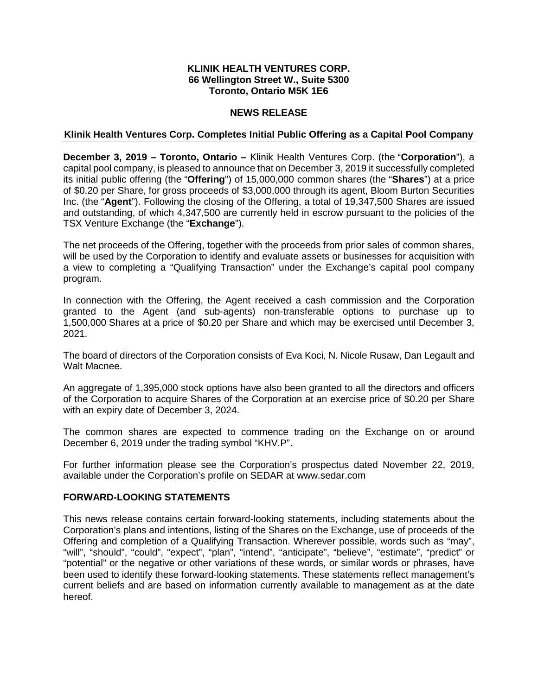# **KLINIK HEALTH VENTURES CORP. 66 Wellington Street W., Suite 5300 Toronto, Ontario M5K 1E6**

# **NEWS RELEASE**

### **Klinik Health Ventures Corp. Completes Initial Public Offering as a Capital Pool Company**

**December 3, 2019 – Toronto, Ontario –** Klinik Health Ventures Corp. (the "**Corporation**"), a capital pool company, is pleased to announce that on December 3, 2019 it successfully completed its initial public offering (the "**Offering**") of 15,000,000 common shares (the "**Shares**") at a price of \$0.20 per Share, for gross proceeds of \$3,000,000 through its agent, Bloom Burton Securities Inc. (the "**Agent**"). Following the closing of the Offering, a total of 19,347,500 Shares are issued and outstanding, of which 4,347,500 are currently held in escrow pursuant to the policies of the TSX Venture Exchange (the "**Exchange**").

The net proceeds of the Offering, together with the proceeds from prior sales of common shares, will be used by the Corporation to identify and evaluate assets or businesses for acquisition with a view to completing a "Qualifying Transaction" under the Exchange's capital pool company program.

In connection with the Offering, the Agent received a cash commission and the Corporation granted to the Agent (and sub-agents) non-transferable options to purchase up to 1,500,000 Shares at a price of \$0.20 per Share and which may be exercised until December 3, 2021.

The board of directors of the Corporation consists of Eva Koci, N. Nicole Rusaw, Dan Legault and Walt Macnee.

An aggregate of 1,395,000 stock options have also been granted to all the directors and officers of the Corporation to acquire Shares of the Corporation at an exercise price of \$0.20 per Share with an expiry date of December 3, 2024.

The common shares are expected to commence trading on the Exchange on or around December 6, 2019 under the trading symbol "KHV.P".

For further information please see the Corporation's prospectus dated November 22, 2019, available under the Corporation's profile on SEDAR at www.sedar.com

### **FORWARD-LOOKING STATEMENTS**

This news release contains certain forward-looking statements, including statements about the Corporation's plans and intentions, listing of the Shares on the Exchange, use of proceeds of the Offering and completion of a Qualifying Transaction. Wherever possible, words such as "may", "will", "should", "could", "expect", "plan", "intend", "anticipate", "believe", "estimate", "predict" or "potential" or the negative or other variations of these words, or similar words or phrases, have been used to identify these forward-looking statements. These statements reflect management's current beliefs and are based on information currently available to management as at the date hereof.